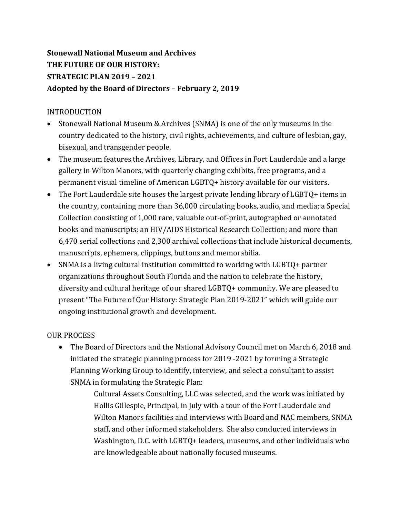# **Stonewall National Museum and Archives THE FUTURE OF OUR HISTORY: STRATEGIC PLAN 2019 – 2021** Adopted by the Board of Directors - February 2, 2019

### INTRODUCTION

- Stonewall National Museum & Archives (SNMA) is one of the only museums in the country dedicated to the history, civil rights, achievements, and culture of lesbian, gay, bisexual, and transgender people.
- The museum features the Archives, Library, and Offices in Fort Lauderdale and a large gallery in Wilton Manors, with quarterly changing exhibits, free programs, and a permanent visual timeline of American LGBTQ+ history available for our visitors.
- The Fort Lauderdale site houses the largest private lending library of LGBTQ+ items in the country, containing more than 36,000 circulating books, audio, and media; a Special Collection consisting of 1,000 rare, valuable out-of-print, autographed or annotated books and manuscripts; an HIV/AIDS Historical Research Collection; and more than 6,470 serial collections and 2,300 archival collections that include historical documents, manuscripts, ephemera, clippings, buttons and memorabilia.
- SNMA is a living cultural institution committed to working with LGBTQ+ partner organizations throughout South Florida and the nation to celebrate the history, diversity and cultural heritage of our shared LGBTQ+ community. We are pleased to present "The Future of Our History: Strategic Plan 2019-2021" which will guide our ongoing institutional growth and development.

## OUR PROCESS

• The Board of Directors and the National Advisory Council met on March 6, 2018 and initiated the strategic planning process for 2019 -2021 by forming a Strategic Planning Working Group to identify, interview, and select a consultant to assist SNMA in formulating the Strategic Plan:

> Cultural Assets Consulting, LLC was selected, and the work was initiated by Hollis Gillespie, Principal, in July with a tour of the Fort Lauderdale and Wilton Manors facilities and interviews with Board and NAC members, SNMA staff, and other informed stakeholders. She also conducted interviews in Washington, D.C. with LGBTQ+ leaders, museums, and other individuals who are knowledgeable about nationally focused museums.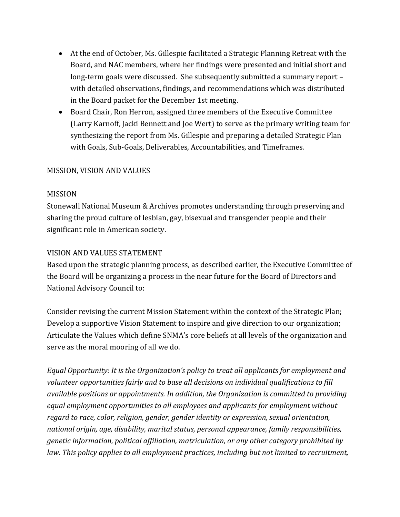- At the end of October, Ms. Gillespie facilitated a Strategic Planning Retreat with the Board, and NAC members, where her findings were presented and initial short and long-term goals were discussed. She subsequently submitted a summary report – with detailed observations, findings, and recommendations which was distributed in the Board packet for the December 1st meeting.
- Board Chair, Ron Herron, assigned three members of the Executive Committee (Larry Karnoff, Jacki Bennett and Joe Wert) to serve as the primary writing team for synthesizing the report from Ms. Gillespie and preparing a detailed Strategic Plan with Goals, Sub-Goals, Deliverables, Accountabilities, and Timeframes.

#### **MISSION, VISION AND VALUES**

#### MISSION

Stonewall National Museum & Archives promotes understanding through preserving and sharing the proud culture of lesbian, gay, bisexual and transgender people and their significant role in American society.

#### VISION AND VALUES STATEMENT

Based upon the strategic planning process, as described earlier, the Executive Committee of the Board will be organizing a process in the near future for the Board of Directors and National Advisory Council to:

Consider revising the current Mission Statement within the context of the Strategic Plan; Develop a supportive Vision Statement to inspire and give direction to our organization; Articulate the Values which define SNMA's core beliefs at all levels of the organization and serve as the moral mooring of all we do.

*Equal Opportunity: It is the Organization's policy to treat all applicants for employment and* volunteer opportunities fairly and to base all decisions on individual qualifications to fill *available positions or appointments. In addition, the Organization is committed to providing* equal employment opportunities to all employees and applicants for employment without *regard to race, color, religion, gender, gender identity or expression, sexual orientation,* national origin, age, disability, marital status, personal appearance, family responsibilities, *genetic information, political affiliation, matriculation, or any other category prohibited by law.* This policy applies to all employment practices, including but not limited to recruitment,